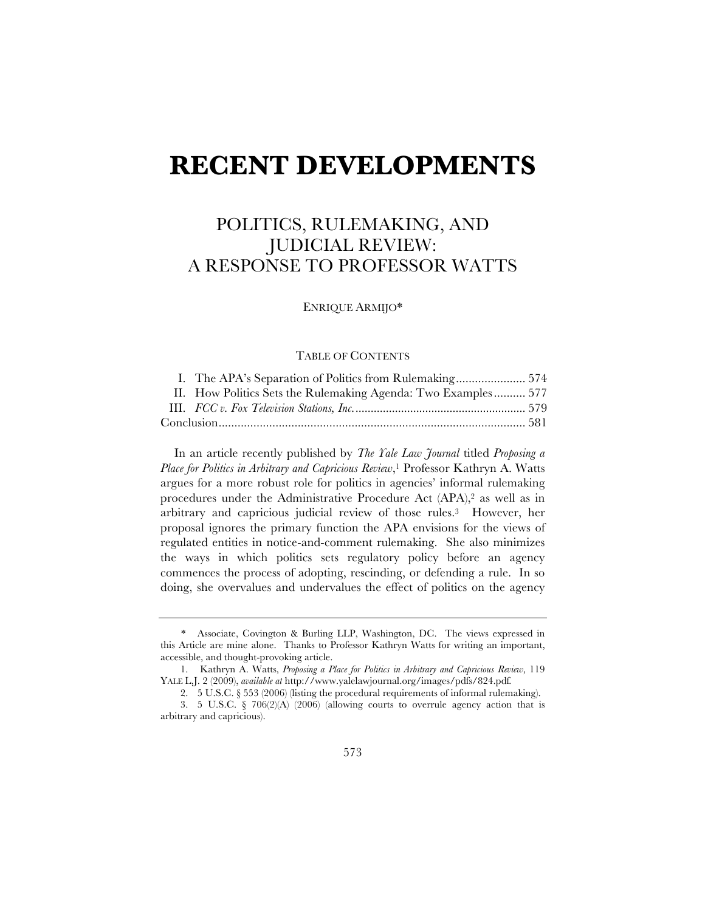# **RECENT DEVELOPMENTS**

# POLITICS, RULEMAKING, AND JUDICIAL REVIEW: A RESPONSE TO PROFESSOR WATTS

ENRIQUE ARMIJO\*

## TABLE OF CONTENTS

|  | I. The APA's Separation of Politics from Rulemaking 574       |  |
|--|---------------------------------------------------------------|--|
|  | II. How Politics Sets the Rulemaking Agenda: Two Examples 577 |  |
|  |                                                               |  |
|  |                                                               |  |

In an article recently published by *The Yale Law Journal* titled *Proposing a Place for Politics in Arbitrary and Capricious Review*,1 Professor Kathryn A. Watts argues for a more robust role for politics in agencies' informal rulemaking procedures under the Administrative Procedure Act (APA),2 as well as in arbitrary and capricious judicial review of those rules.3 However, her proposal ignores the primary function the APA envisions for the views of regulated entities in notice-and-comment rulemaking. She also minimizes the ways in which politics sets regulatory policy before an agency commences the process of adopting, rescinding, or defending a rule. In so doing, she overvalues and undervalues the effect of politics on the agency

<sup>\*</sup> Associate, Covington & Burling LLP, Washington, DC. The views expressed in this Article are mine alone. Thanks to Professor Kathryn Watts for writing an important, accessible, and thought-provoking article.

<sup>1.</sup> Kathryn A. Watts, *Proposing a Place for Politics in Arbitrary and Capricious Review*, 119 YALE L.J. 2 (2009), *available at* http://www.yalelawjournal.org/images/pdfs/824.pdf*.*

<sup>2.</sup> 5 U.S.C. § 553 (2006) (listing the procedural requirements of informal rulemaking).

<sup>3.</sup> 5 U.S.C. § 706(2)(A) (2006) (allowing courts to overrule agency action that is arbitrary and capricious).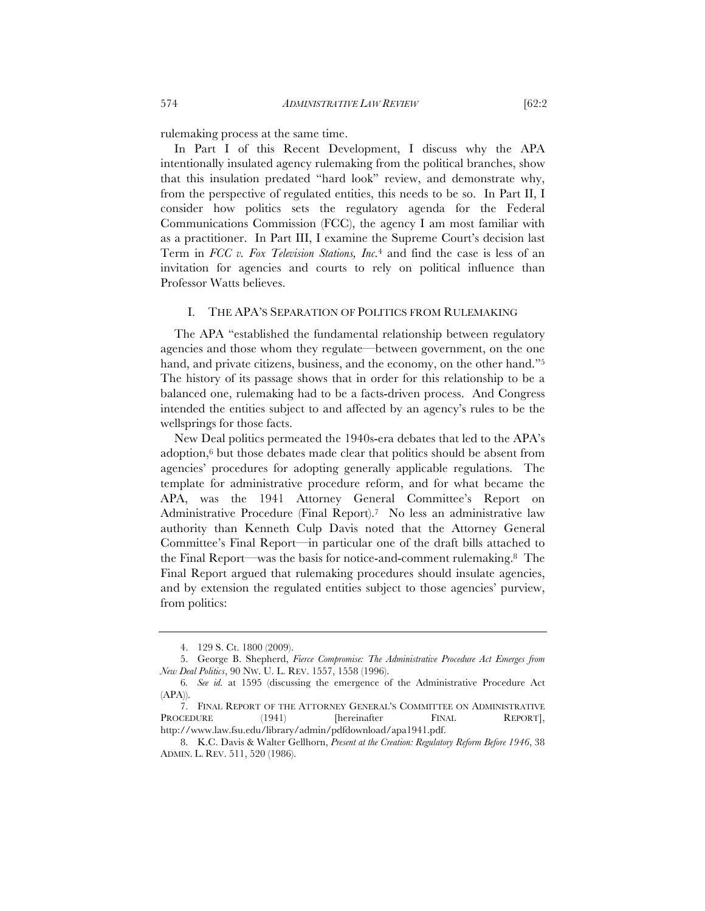rulemaking process at the same time.

In Part I of this Recent Development, I discuss why the APA intentionally insulated agency rulemaking from the political branches, show that this insulation predated "hard look" review, and demonstrate why, from the perspective of regulated entities, this needs to be so. In Part II, I consider how politics sets the regulatory agenda for the Federal Communications Commission (FCC), the agency I am most familiar with as a practitioner. In Part III, I examine the Supreme Court's decision last Term in *FCC v. Fox Television Stations, Inc.*<sup>4</sup> and find the case is less of an invitation for agencies and courts to rely on political influence than Professor Watts believes.

#### I. THE APA'S SEPARATION OF POLITICS FROM RULEMAKING

The APA "established the fundamental relationship between regulatory agencies and those whom they regulate—between government, on the one hand, and private citizens, business, and the economy, on the other hand."<sup>5</sup> The history of its passage shows that in order for this relationship to be a balanced one, rulemaking had to be a facts-driven process. And Congress intended the entities subject to and affected by an agency's rules to be the wellsprings for those facts.

New Deal politics permeated the 1940s-era debates that led to the APA's adoption,6 but those debates made clear that politics should be absent from agencies' procedures for adopting generally applicable regulations. The template for administrative procedure reform, and for what became the APA, was the 1941 Attorney General Committee's Report on Administrative Procedure (Final Report).7 No less an administrative law authority than Kenneth Culp Davis noted that the Attorney General Committee's Final Report—in particular one of the draft bills attached to the Final Report—was the basis for notice-and-comment rulemaking.8 The Final Report argued that rulemaking procedures should insulate agencies, and by extension the regulated entities subject to those agencies' purview, from politics:

<sup>4.</sup> 129 S. Ct. 1800 (2009).

<sup>5.</sup> George B. Shepherd, *Fierce Compromise: The Administrative Procedure Act Emerges from New Deal Politics*, 90 NW. U. L. REV. 1557, 1558 (1996).

<sup>6</sup>*. See id.* at 1595 (discussing the emergence of the Administrative Procedure Act (APA)).

<sup>7.</sup> FINAL REPORT OF THE ATTORNEY GENERAL'S COMMITTEE ON ADMINISTRATIVE PROCEDURE (1941) [hereinafter FINAL REPORT], http://www.law.fsu.edu/library/admin/pdfdownload/apa1941.pdf.

<sup>8.</sup> K.C. Davis & Walter Gellhorn, *Present at the Creation: Regulatory Reform Before 1946*, 38 ADMIN. L. REV. 511, 520 (1986).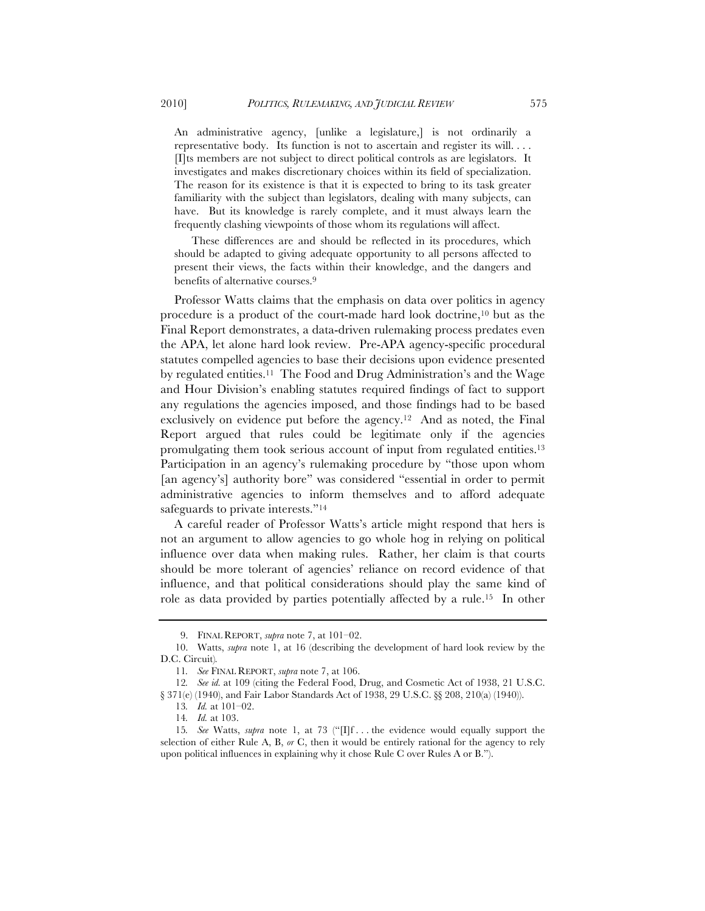An administrative agency, [unlike a legislature,] is not ordinarily a representative body. Its function is not to ascertain and register its will. . . . [I]ts members are not subject to direct political controls as are legislators. It investigates and makes discretionary choices within its field of specialization. The reason for its existence is that it is expected to bring to its task greater familiarity with the subject than legislators, dealing with many subjects, can have. But its knowledge is rarely complete, and it must always learn the frequently clashing viewpoints of those whom its regulations will affect.

These differences are and should be reflected in its procedures, which should be adapted to giving adequate opportunity to all persons affected to present their views, the facts within their knowledge, and the dangers and benefits of alternative courses.9

Professor Watts claims that the emphasis on data over politics in agency procedure is a product of the court-made hard look doctrine,10 but as the Final Report demonstrates, a data-driven rulemaking process predates even the APA, let alone hard look review. Pre-APA agency-specific procedural statutes compelled agencies to base their decisions upon evidence presented by regulated entities.11 The Food and Drug Administration's and the Wage and Hour Division's enabling statutes required findings of fact to support any regulations the agencies imposed, and those findings had to be based exclusively on evidence put before the agency.12 And as noted, the Final Report argued that rules could be legitimate only if the agencies promulgating them took serious account of input from regulated entities.13 Participation in an agency's rulemaking procedure by "those upon whom [an agency's] authority bore" was considered "essential in order to permit administrative agencies to inform themselves and to afford adequate safeguards to private interests."14

A careful reader of Professor Watts's article might respond that hers is not an argument to allow agencies to go whole hog in relying on political influence over data when making rules. Rather, her claim is that courts should be more tolerant of agencies' reliance on record evidence of that influence, and that political considerations should play the same kind of role as data provided by parties potentially affected by a rule.15 In other

<sup>9.</sup> FINAL REPORT, *supra* note 7, at 101–02.

<sup>10.</sup> Watts, *supra* note 1, at 16 (describing the development of hard look review by the D.C. Circuit)*.*

<sup>11</sup>*. See* FINAL REPORT, *supra* note 7, at 106.

<sup>12</sup>*. See id.* at 109 (citing the Federal Food, Drug, and Cosmetic Act of 1938, 21 U.S.C. § 371(e) (1940), and Fair Labor Standards Act of 1938, 29 U.S.C. §§ 208, 210(a) (1940)).

<sup>13</sup>*. Id.* at 101–02.

<sup>14</sup>*. Id.* at 103.

<sup>15</sup>*. See* Watts, *supra* note 1, at 73 ("[I]f . . . the evidence would equally support the selection of either Rule A, B, *or* C, then it would be entirely rational for the agency to rely upon political influences in explaining why it chose Rule C over Rules A or B.").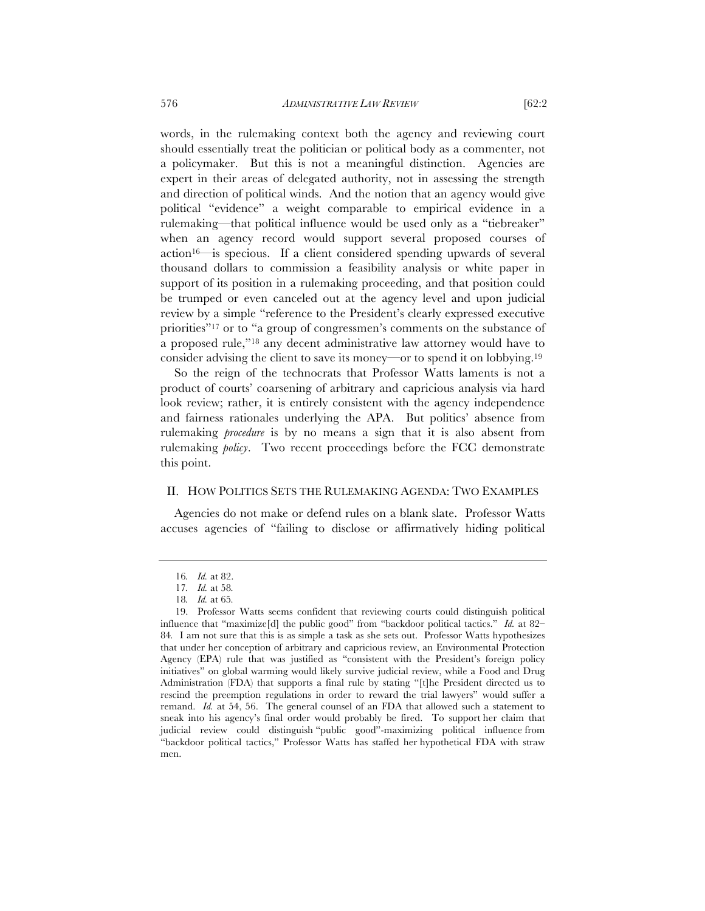words, in the rulemaking context both the agency and reviewing court should essentially treat the politician or political body as a commenter, not a policymaker. But this is not a meaningful distinction. Agencies are expert in their areas of delegated authority, not in assessing the strength and direction of political winds. And the notion that an agency would give political "evidence" a weight comparable to empirical evidence in a rulemaking—that political influence would be used only as a "tiebreaker" when an agency record would support several proposed courses of action16—is specious. If a client considered spending upwards of several thousand dollars to commission a feasibility analysis or white paper in support of its position in a rulemaking proceeding, and that position could be trumped or even canceled out at the agency level and upon judicial review by a simple "reference to the President's clearly expressed executive priorities"17 or to "a group of congressmen's comments on the substance of a proposed rule,"18 any decent administrative law attorney would have to consider advising the client to save its money—or to spend it on lobbying.19

So the reign of the technocrats that Professor Watts laments is not a product of courts' coarsening of arbitrary and capricious analysis via hard look review; rather, it is entirely consistent with the agency independence and fairness rationales underlying the APA. But politics' absence from rulemaking *procedure* is by no means a sign that it is also absent from rulemaking *policy*. Two recent proceedings before the FCC demonstrate this point.

#### II. HOW POLITICS SETS THE RULEMAKING AGENDA: TWO EXAMPLES

Agencies do not make or defend rules on a blank slate. Professor Watts accuses agencies of "failing to disclose or affirmatively hiding political

<sup>16</sup>*. Id.* at 82.

<sup>17</sup>*. Id.* at 58*.*

<sup>18</sup>*. Id.* at 65*.*

<sup>19.</sup> Professor Watts seems confident that reviewing courts could distinguish political influence that "maximize[d] the public good" from "backdoor political tactics." *Id.* at 82– 84*.* I am not sure that this is as simple a task as she sets out. Professor Watts hypothesizes that under her conception of arbitrary and capricious review, an Environmental Protection Agency (EPA) rule that was justified as "consistent with the President's foreign policy initiatives" on global warming would likely survive judicial review, while a Food and Drug Administration (FDA) that supports a final rule by stating "[t]he President directed us to rescind the preemption regulations in order to reward the trial lawyers" would suffer a remand. *Id.* at 54, 56. The general counsel of an FDA that allowed such a statement to sneak into his agency's final order would probably be fired. To support her claim that judicial review could distinguish "public good"-maximizing political influence from "backdoor political tactics," Professor Watts has staffed her hypothetical FDA with straw men.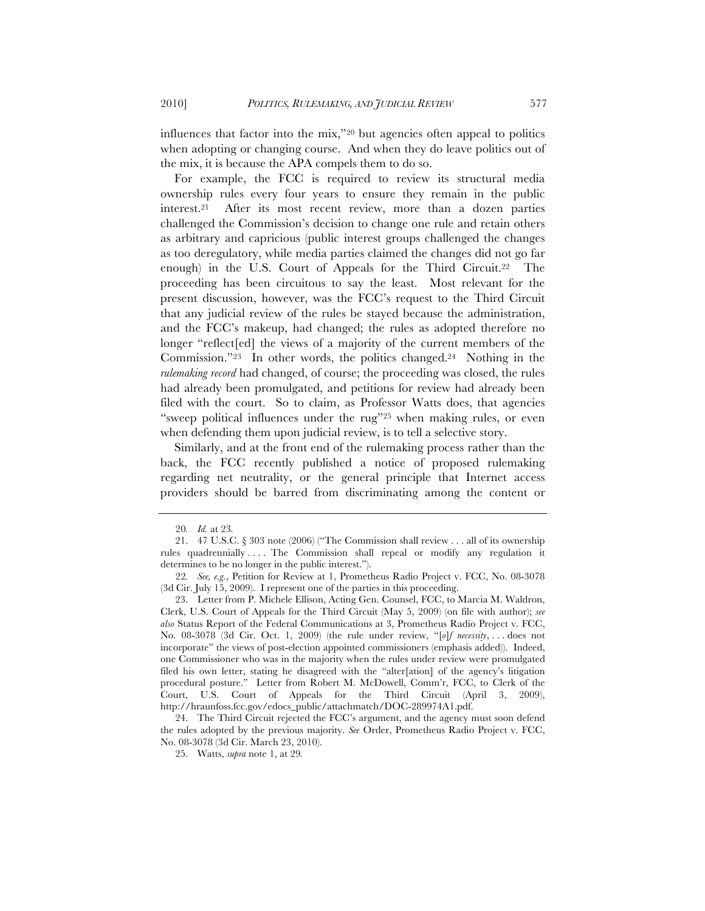influences that factor into the mix,"20 but agencies often appeal to politics when adopting or changing course. And when they do leave politics out of the mix, it is because the APA compels them to do so.

For example, the FCC is required to review its structural media ownership rules every four years to ensure they remain in the public interest.21 After its most recent review, more than a dozen parties challenged the Commission's decision to change one rule and retain others as arbitrary and capricious (public interest groups challenged the changes as too deregulatory, while media parties claimed the changes did not go far enough) in the U.S. Court of Appeals for the Third Circuit.22 The proceeding has been circuitous to say the least. Most relevant for the present discussion, however, was the FCC's request to the Third Circuit that any judicial review of the rules be stayed because the administration, and the FCC's makeup, had changed; the rules as adopted therefore no longer "reflect[ed] the views of a majority of the current members of the Commission."23 In other words, the politics changed.24 Nothing in the *rulemaking record* had changed, of course; the proceeding was closed, the rules had already been promulgated, and petitions for review had already been filed with the court. So to claim, as Professor Watts does, that agencies "sweep political influences under the rug"25 when making rules, or even when defending them upon judicial review, is to tell a selective story.

Similarly, and at the front end of the rulemaking process rather than the back, the FCC recently published a notice of proposed rulemaking regarding net neutrality, or the general principle that Internet access providers should be barred from discriminating among the content or

<sup>20</sup>*. Id.* at 23*.*

<sup>21.</sup> 47 U.S.C. § 303 note (2006) ("The Commission shall review . . . all of its ownership rules quadrennially . . . . The Commission shall repeal or modify any regulation it determines to be no longer in the public interest.").

<sup>22</sup>*. See, e.g.*, Petition for Review at 1, Prometheus Radio Project v. FCC, No. 08-3078 (3d Cir. July 15, 2009). I represent one of the parties in this proceeding.

<sup>23.</sup> Letter from P. Michele Ellison, Acting Gen. Counsel, FCC, to Marcia M. Waldron, Clerk, U.S. Court of Appeals for the Third Circuit (May 5, 2009) (on file with author); *see also* Status Report of the Federal Communications at 3, Prometheus Radio Project v. FCC, No. 08-3078 (3d Cir. Oct. 1, 2009) (the rule under review, "[*o*]*f necessity*, . . . does not incorporate" the views of post-election appointed commissioners (emphasis added)). Indeed, one Commissioner who was in the majority when the rules under review were promulgated filed his own letter, stating he disagreed with the "alter[ation] of the agency's litigation procedural posture." Letter from Robert M. McDowell, Comm'r, FCC, to Clerk of the Court, U.S. Court of Appeals for the Third Circuit (April 3, 2009), http://hraunfoss.fcc.gov/edocs\_public/attachmatch/DOC-289974A1.pdf.

<sup>24.</sup> The Third Circuit rejected the FCC's argument, and the agency must soon defend the rules adopted by the previous majority. *See* Order, Prometheus Radio Project v. FCC, No. 08-3078 (3d Cir. March 23, 2010).

<sup>25.</sup> Watts, *supra* note 1, at 29*.*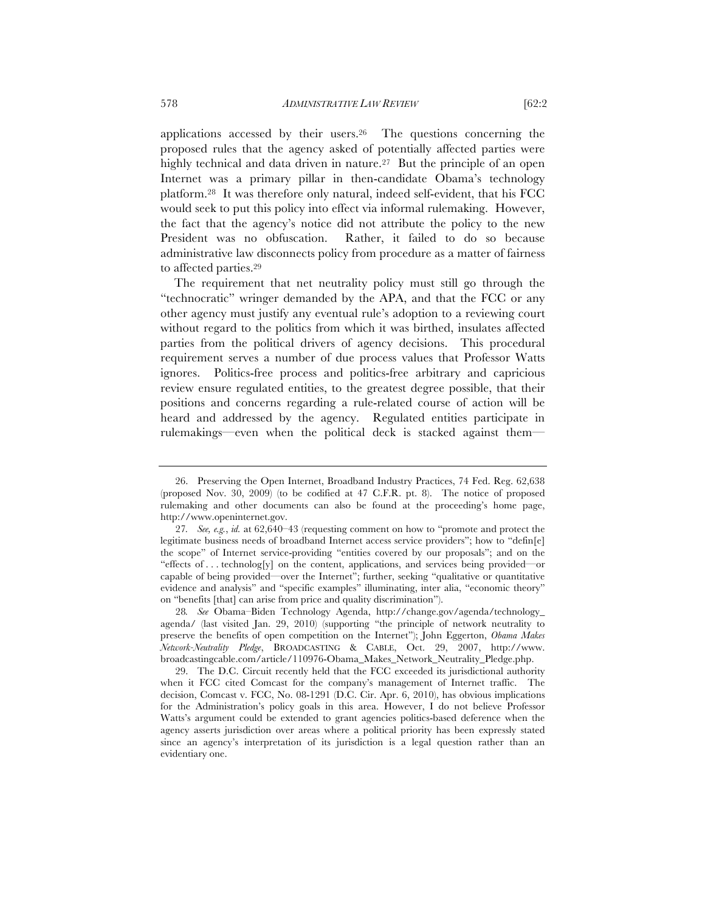applications accessed by their users.26 The questions concerning the proposed rules that the agency asked of potentially affected parties were highly technical and data driven in nature.<sup>27</sup> But the principle of an open Internet was a primary pillar in then-candidate Obama's technology platform.28 It was therefore only natural, indeed self-evident, that his FCC would seek to put this policy into effect via informal rulemaking. However, the fact that the agency's notice did not attribute the policy to the new President was no obfuscation. Rather, it failed to do so because administrative law disconnects policy from procedure as a matter of fairness to affected parties.29

The requirement that net neutrality policy must still go through the "technocratic" wringer demanded by the APA, and that the FCC or any other agency must justify any eventual rule's adoption to a reviewing court without regard to the politics from which it was birthed, insulates affected parties from the political drivers of agency decisions. This procedural requirement serves a number of due process values that Professor Watts ignores. Politics-free process and politics-free arbitrary and capricious review ensure regulated entities, to the greatest degree possible, that their positions and concerns regarding a rule-related course of action will be heard and addressed by the agency. Regulated entities participate in rulemakings—even when the political deck is stacked against them—

28*. See* Obama–Biden Technology Agenda, http://change.gov/agenda/technology\_ agenda/ (last visited Jan. 29, 2010) (supporting "the principle of network neutrality to preserve the benefits of open competition on the Internet"); John Eggerton, *Obama Makes Network-Neutrality Pledge*, BROADCASTING & CABLE, Oct. 29, 2007, http://www. broadcastingcable.com/article/110976-Obama\_Makes\_Network\_Neutrality\_Pledge.php.

<sup>26.</sup> Preserving the Open Internet, Broadband Industry Practices, 74 Fed. Reg. 62,638 (proposed Nov. 30, 2009) (to be codified at 47 C.F.R. pt. 8). The notice of proposed rulemaking and other documents can also be found at the proceeding's home page, http://www.openinternet.gov.

<sup>27</sup>*. See, e.g.*, *id.* at 62,640–43 (requesting comment on how to "promote and protect the legitimate business needs of broadband Internet access service providers"; how to "defin[e] the scope" of Internet service-providing "entities covered by our proposals"; and on the "effects of . . . technolog[y] on the content, applications, and services being provided—or capable of being provided—over the Internet"; further, seeking "qualitative or quantitative evidence and analysis" and "specific examples" illuminating, inter alia, "economic theory" on "benefits [that] can arise from price and quality discrimination").

<sup>29.</sup> The D.C. Circuit recently held that the FCC exceeded its jurisdictional authority when it FCC cited Comcast for the company's management of Internet traffic. The decision, Comcast v. FCC, No. 08-1291 (D.C. Cir. Apr. 6, 2010), has obvious implications for the Administration's policy goals in this area. However, I do not believe Professor Watts's argument could be extended to grant agencies politics-based deference when the agency asserts jurisdiction over areas where a political priority has been expressly stated since an agency's interpretation of its jurisdiction is a legal question rather than an evidentiary one.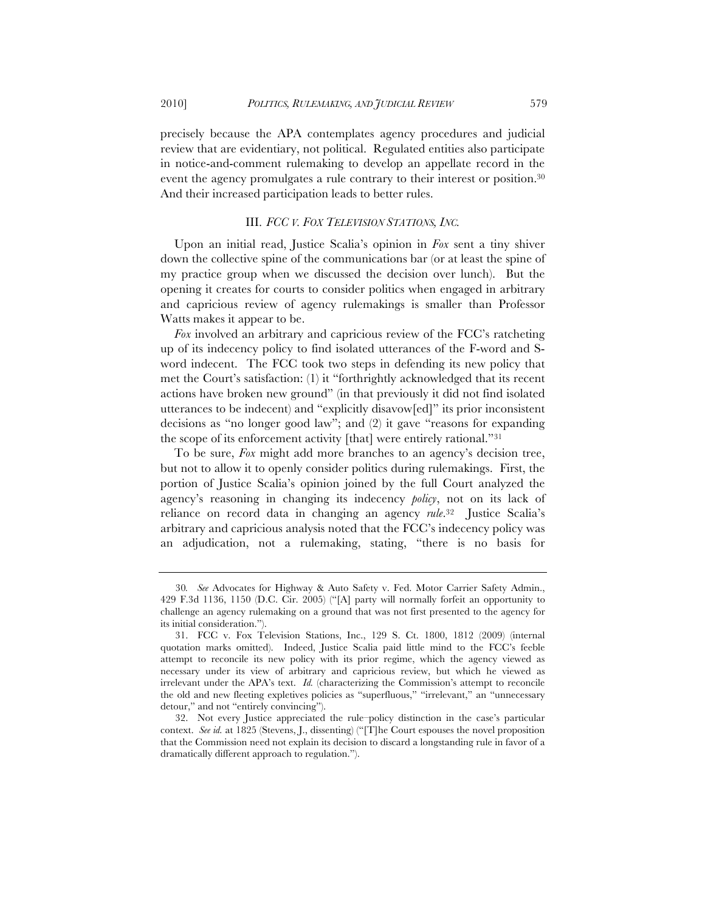precisely because the APA contemplates agency procedures and judicial review that are evidentiary, not political. Regulated entities also participate in notice-and-comment rulemaking to develop an appellate record in the event the agency promulgates a rule contrary to their interest or position.30 And their increased participation leads to better rules.

### III. *FCC V. FOX TELEVISION STATIONS, INC.*

Upon an initial read, Justice Scalia's opinion in *Fox* sent a tiny shiver down the collective spine of the communications bar (or at least the spine of my practice group when we discussed the decision over lunch). But the opening it creates for courts to consider politics when engaged in arbitrary and capricious review of agency rulemakings is smaller than Professor Watts makes it appear to be.

*Fox* involved an arbitrary and capricious review of the FCC's ratcheting up of its indecency policy to find isolated utterances of the F-word and Sword indecent. The FCC took two steps in defending its new policy that met the Court's satisfaction: (1) it "forthrightly acknowledged that its recent actions have broken new ground" (in that previously it did not find isolated utterances to be indecent) and "explicitly disavow[ed]" its prior inconsistent decisions as "no longer good law"; and (2) it gave "reasons for expanding the scope of its enforcement activity [that] were entirely rational."31

To be sure, *Fox* might add more branches to an agency's decision tree, but not to allow it to openly consider politics during rulemakings. First, the portion of Justice Scalia's opinion joined by the full Court analyzed the agency's reasoning in changing its indecency *policy*, not on its lack of reliance on record data in changing an agency *rule*.32 Justice Scalia's arbitrary and capricious analysis noted that the FCC's indecency policy was an adjudication, not a rulemaking, stating, "there is no basis for

<sup>30</sup>*. See* Advocates for Highway & Auto Safety v. Fed. Motor Carrier Safety Admin., 429 F.3d 1136, 1150 (D.C. Cir. 2005) ("[A] party will normally forfeit an opportunity to challenge an agency rulemaking on a ground that was not first presented to the agency for its initial consideration.").

<sup>31.</sup> FCC v. Fox Television Stations, Inc., 129 S. Ct. 1800, 1812 (2009) (internal quotation marks omitted). Indeed, Justice Scalia paid little mind to the FCC's feeble attempt to reconcile its new policy with its prior regime, which the agency viewed as necessary under its view of arbitrary and capricious review, but which he viewed as irrelevant under the APA's text. *Id.* (characterizing the Commission's attempt to reconcile the old and new fleeting expletives policies as "superfluous," "irrelevant," an "unnecessary detour," and not "entirely convincing").

<sup>32.</sup> Not every Justice appreciated the rule–policy distinction in the case's particular context. *See id.* at 1825 (Stevens, J., dissenting) ("[T]he Court espouses the novel proposition that the Commission need not explain its decision to discard a longstanding rule in favor of a dramatically different approach to regulation.").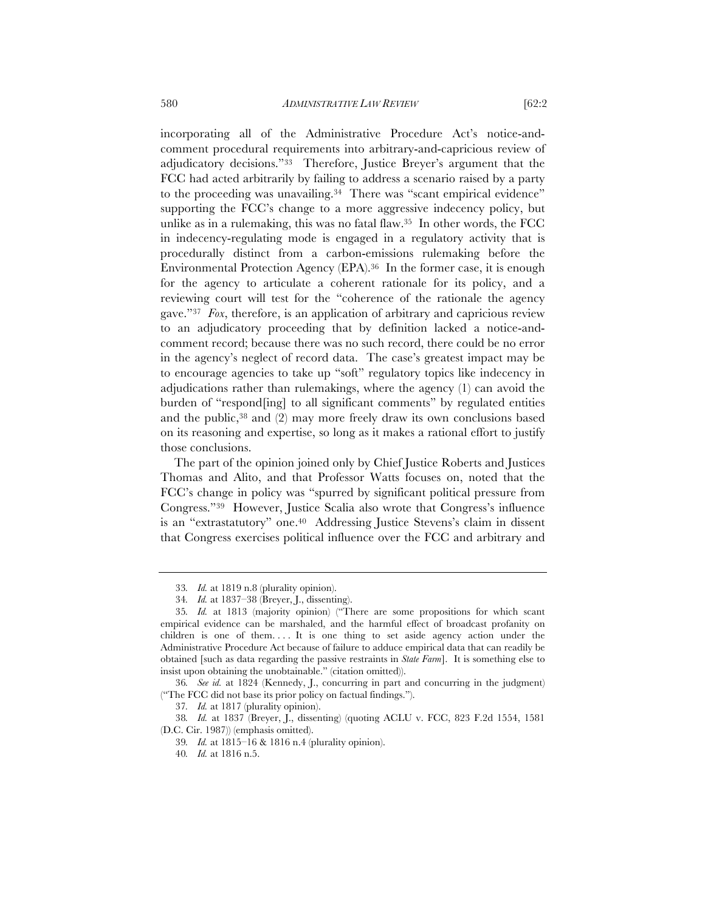incorporating all of the Administrative Procedure Act's notice-andcomment procedural requirements into arbitrary-and-capricious review of adjudicatory decisions."33 Therefore, Justice Breyer's argument that the FCC had acted arbitrarily by failing to address a scenario raised by a party to the proceeding was unavailing.34 There was "scant empirical evidence" supporting the FCC's change to a more aggressive indecency policy, but unlike as in a rulemaking, this was no fatal flaw.35 In other words, the FCC in indecency-regulating mode is engaged in a regulatory activity that is procedurally distinct from a carbon-emissions rulemaking before the Environmental Protection Agency (EPA).36 In the former case, it is enough for the agency to articulate a coherent rationale for its policy, and a reviewing court will test for the "coherence of the rationale the agency

gave."37 *Fox*, therefore, is an application of arbitrary and capricious review to an adjudicatory proceeding that by definition lacked a notice-andcomment record; because there was no such record, there could be no error in the agency's neglect of record data. The case's greatest impact may be to encourage agencies to take up "soft" regulatory topics like indecency in adjudications rather than rulemakings, where the agency (1) can avoid the burden of "respond[ing] to all significant comments" by regulated entities and the public,<sup>38</sup> and (2) may more freely draw its own conclusions based on its reasoning and expertise, so long as it makes a rational effort to justify those conclusions.

The part of the opinion joined only by Chief Justice Roberts and Justices Thomas and Alito, and that Professor Watts focuses on, noted that the FCC's change in policy was "spurred by significant political pressure from Congress."39 However, Justice Scalia also wrote that Congress's influence is an "extrastatutory" one.40 Addressing Justice Stevens's claim in dissent that Congress exercises political influence over the FCC and arbitrary and

<sup>33</sup>*. Id.* at 1819 n.8 (plurality opinion).

<sup>34</sup>*. Id.* at 1837–38 (Breyer, J., dissenting).

<sup>35</sup>*. Id.* at 1813 (majority opinion) ("There are some propositions for which scant empirical evidence can be marshaled, and the harmful effect of broadcast profanity on children is one of them.... It is one thing to set aside agency action under the Administrative Procedure Act because of failure to adduce empirical data that can readily be obtained [such as data regarding the passive restraints in *State Farm*]. It is something else to insist upon obtaining the unobtainable." (citation omitted)).

<sup>36</sup>*. See id.* at 1824 (Kennedy, J., concurring in part and concurring in the judgment) ("The FCC did not base its prior policy on factual findings.").

<sup>37</sup>*. Id.* at 1817 (plurality opinion).

<sup>38</sup>*. Id.* at 1837 (Breyer, J., dissenting) (quoting ACLU v. FCC, 823 F.2d 1554, 1581 (D.C. Cir. 1987)) (emphasis omitted).

<sup>39</sup>*. Id.* at 1815–16 & 1816 n.4 (plurality opinion).

<sup>40</sup>*. Id.* at 1816 n.5.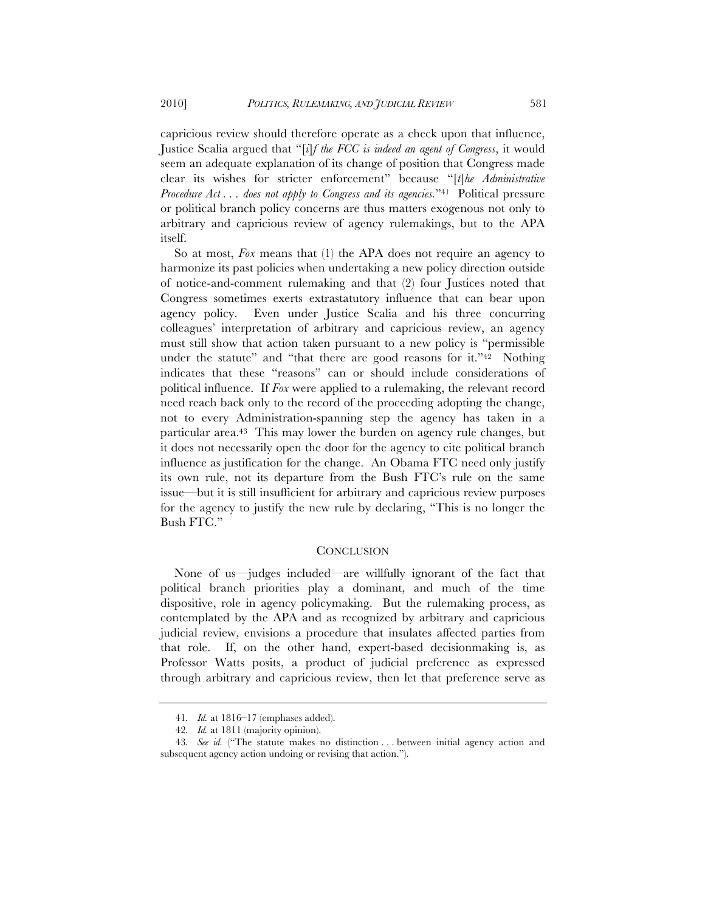capricious review should therefore operate as a check upon that influence, Justice Scalia argued that "[*i*]*f the FCC is indeed an agent of Congress*, it would seem an adequate explanation of its change of position that Congress made clear its wishes for stricter enforcement" because "[*t*]*he Administrative Procedure Act . . . does not apply to Congress and its agencies.*"41 Political pressure or political branch policy concerns are thus matters exogenous not only to arbitrary and capricious review of agency rulemakings, but to the APA itself.

So at most, *Fox* means that (1) the APA does not require an agency to harmonize its past policies when undertaking a new policy direction outside of notice-and-comment rulemaking and that (2) four Justices noted that Congress sometimes exerts extrastatutory influence that can bear upon agency policy. Even under Justice Scalia and his three concurring colleagues' interpretation of arbitrary and capricious review, an agency must still show that action taken pursuant to a new policy is "permissible under the statute" and "that there are good reasons for it."<sup>42</sup> Nothing indicates that these "reasons" can or should include considerations of political influence. If *Fox* were applied to a rulemaking, the relevant record need reach back only to the record of the proceeding adopting the change, not to every Administration-spanning step the agency has taken in a particular area.43 This may lower the burden on agency rule changes, but it does not necessarily open the door for the agency to cite political branch influence as justification for the change. An Obama FTC need only justify its own rule, not its departure from the Bush FTC's rule on the same issue—but it is still insufficient for arbitrary and capricious review purposes for the agency to justify the new rule by declaring, "This is no longer the Bush FTC."

#### **CONCLUSION**

None of us—judges included—are willfully ignorant of the fact that political branch priorities play a dominant, and much of the time dispositive, role in agency policymaking. But the rulemaking process, as contemplated by the APA and as recognized by arbitrary and capricious judicial review, envisions a procedure that insulates affected parties from that role. If, on the other hand, expert-based decisionmaking is, as Professor Watts posits, a product of judicial preference as expressed through arbitrary and capricious review, then let that preference serve as

<sup>41</sup>*. Id.* at 1816–17 (emphases added).

<sup>42</sup>*. Id.* at 1811 (majority opinion).

<sup>43</sup>*. See id.* ("The statute makes no distinction . . . between initial agency action and subsequent agency action undoing or revising that action.").